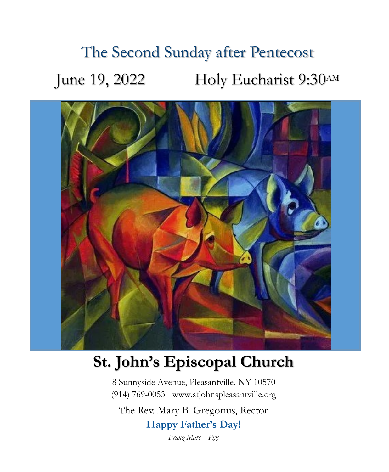# The Second Sunday after Pentecost June 19, 2022 Holy Eucharist 9:30AM



# **St. John's Episcopal Church**

8 Sunnyside Avenue, Pleasantville, NY 10570 (914) 769-0053 www.stjohnspleasantville.org

The Rev. Mary B. Gregorius, Rector **Happy Father's Day!**

*Franz Marc—Pigs*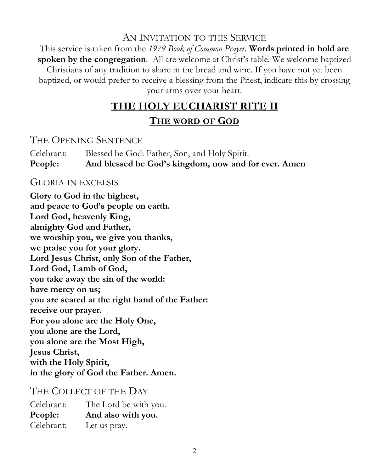#### AN INVITATION TO THIS SERVICE

This service is taken from the *1979 Book of Common Prayer*. **Words printed in bold are spoken by the congregation**. All are welcome at Christ's table. We welcome baptized Christians of any tradition to share in the bread and wine. If you have not yet been baptized, or would prefer to receive a blessing from the Priest, indicate this by crossing your arms over your heart.

# **THE HOLY EUCHARIST RITE II**

### **THE WORD OF GOD**

#### THE OPENING SENTENCE

| Celebrant: | Blessed be God: Father, Son, and Holy Spirit.        |
|------------|------------------------------------------------------|
| People:    | And blessed be God's kingdom, now and for ever. Amen |

#### GLORIA IN EXCELSIS

**Glory to God in the highest, and peace to God's people on earth. Lord God, heavenly King, almighty God and Father, we worship you, we give you thanks, we praise you for your glory. Lord Jesus Christ, only Son of the Father, Lord God, Lamb of God, you take away the sin of the world: have mercy on us; you are seated at the right hand of the Father: receive our prayer. For you alone are the Holy One, you alone are the Lord, you alone are the Most High, Jesus Christ, with the Holy Spirit, in the glory of God the Father. Amen.**

#### THE COLLECT OF THE DAY

Celebrant: The Lord be with you. **People: And also with you.** Celebrant: Let us pray.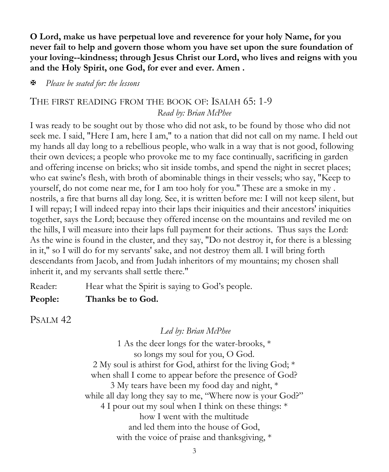**O Lord, make us have perpetual love and reverence for your holy Name, for you never fail to help and govern those whom you have set upon the sure foundation of your loving--kindness; through Jesus Christ our Lord, who lives and reigns with you and the Holy Spirit, one God, for ever and ever. Amen .**

*Please be seated for: the lessons*

#### THE FIRST READING FROM THE BOOK OF: ISAIAH 65: 1-9 *Read by: Brian McPhee*

I was ready to be sought out by those who did not ask, to be found by those who did not seek me. I said, "Here I am, here I am," to a nation that did not call on my name. I held out my hands all day long to a rebellious people, who walk in a way that is not good, following their own devices; a people who provoke me to my face continually, sacrificing in garden and offering incense on bricks; who sit inside tombs, and spend the night in secret places; who eat swine's flesh, with broth of abominable things in their vessels; who say, "Keep to yourself, do not come near me, for I am too holy for you." These are a smoke in my . nostrils, a fire that burns all day long. See, it is written before me: I will not keep silent, but I will repay; I will indeed repay into their laps their iniquities and their ancestors' iniquities together, says the Lord; because they offered incense on the mountains and reviled me on the hills, I will measure into their laps full payment for their actions. Thus says the Lord: As the wine is found in the cluster, and they say, "Do not destroy it, for there is a blessing in it," so I will do for my servants' sake, and not destroy them all. I will bring forth descendants from Jacob, and from Judah inheritors of my mountains; my chosen shall inherit it, and my servants shall settle there."

Reader: Hear what the Spirit is saying to God's people.

**People: Thanks be to God.**

PSALM 42

#### *Led by: Brian McPhee*

1 As the deer longs for the water-brooks, \* so longs my soul for you, O God. 2 My soul is athirst for God, athirst for the living God; \* when shall I come to appear before the presence of God? 3 My tears have been my food day and night, \* while all day long they say to me, "Where now is your God?" 4 I pour out my soul when I think on these things: \* how I went with the multitude and led them into the house of God, with the voice of praise and thanksgiving,  $*$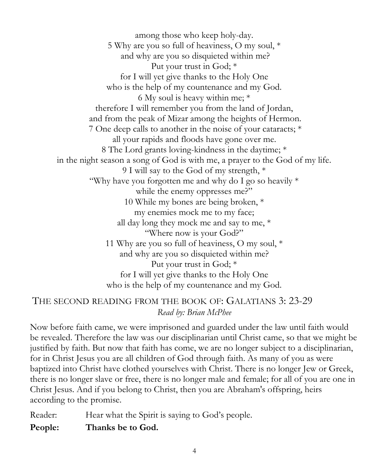among those who keep holy-day. 5 Why are you so full of heaviness, O my soul, \* and why are you so disquieted within me? Put your trust in God; \* for I will yet give thanks to the Holy One who is the help of my countenance and my God. 6 My soul is heavy within me; \* therefore I will remember you from the land of Jordan, and from the peak of Mizar among the heights of Hermon. 7 One deep calls to another in the noise of your cataracts; \* all your rapids and floods have gone over me. 8 The Lord grants loving-kindness in the daytime; \* in the night season a song of God is with me, a prayer to the God of my life. 9 I will say to the God of my strength, \* "Why have you forgotten me and why do I go so heavily  $*$ while the enemy oppresses me?" 10 While my bones are being broken, \* my enemies mock me to my face; all day long they mock me and say to me, \* "Where now is your God?" 11 Why are you so full of heaviness, O my soul, \* and why are you so disquieted within me? Put your trust in God; \* for I will yet give thanks to the Holy One who is the help of my countenance and my God.

### THE SECOND READING FROM THE BOOK OF: GALATIANS 3: 23-29 *Read by: Brian McPhee*

Now before faith came, we were imprisoned and guarded under the law until faith would be revealed. Therefore the law was our disciplinarian until Christ came, so that we might be justified by faith. But now that faith has come, we are no longer subject to a disciplinarian, for in Christ Jesus you are all children of God through faith. As many of you as were baptized into Christ have clothed yourselves with Christ. There is no longer Jew or Greek, there is no longer slave or free, there is no longer male and female; for all of you are one in Christ Jesus. And if you belong to Christ, then you are Abraham's offspring, heirs according to the promise.

Reader: Hear what the Spirit is saying to God's people.

**People: Thanks be to God.**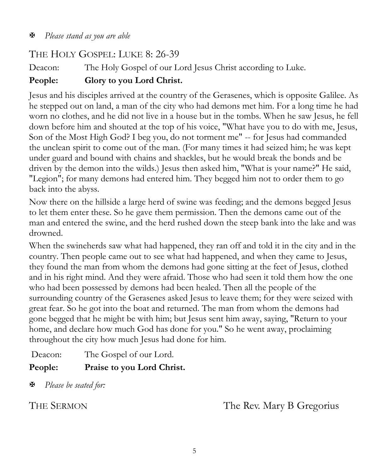# THE HOLY GOSPEL: LUKE 8: 26-39

Deacon: The Holy Gospel of our Lord Jesus Christ according to Luke.

# **People: Glory to you Lord Christ.**

Jesus and his disciples arrived at the country of the Gerasenes, which is opposite Galilee. As he stepped out on land, a man of the city who had demons met him. For a long time he had worn no clothes, and he did not live in a house but in the tombs. When he saw Jesus, he fell down before him and shouted at the top of his voice, "What have you to do with me, Jesus, Son of the Most High God? I beg you, do not torment me" -- for Jesus had commanded the unclean spirit to come out of the man. (For many times it had seized him; he was kept under guard and bound with chains and shackles, but he would break the bonds and be driven by the demon into the wilds.) Jesus then asked him, "What is your name?" He said, "Legion"; for many demons had entered him. They begged him not to order them to go back into the abyss.

Now there on the hillside a large herd of swine was feeding; and the demons begged Jesus to let them enter these. So he gave them permission. Then the demons came out of the man and entered the swine, and the herd rushed down the steep bank into the lake and was drowned.

When the swineherds saw what had happened, they ran off and told it in the city and in the country. Then people came out to see what had happened, and when they came to Jesus, they found the man from whom the demons had gone sitting at the feet of Jesus, clothed and in his right mind. And they were afraid. Those who had seen it told them how the one who had been possessed by demons had been healed. Then all the people of the surrounding country of the Gerasenes asked Jesus to leave them; for they were seized with great fear. So he got into the boat and returned. The man from whom the demons had gone begged that he might be with him; but Jesus sent him away, saying, "Return to your home, and declare how much God has done for you." So he went away, proclaiming throughout the city how much Jesus had done for him.

Deacon: The Gospel of our Lord.

# **People: Praise to you Lord Christ.**

*Please be seated for:*

THE SERMON The Rev. Mary B Gregorius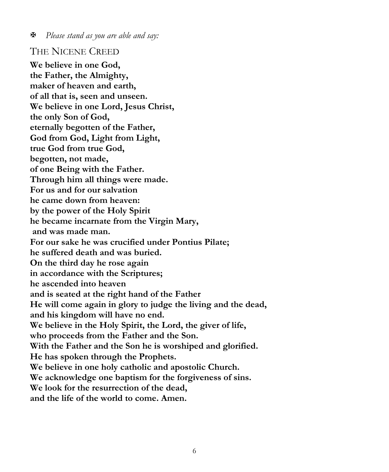*Please stand as you are able and say:*

#### THE NICENE CREED

**We believe in one God, the Father, the Almighty, maker of heaven and earth, of all that is, seen and unseen. We believe in one Lord, Jesus Christ, the only Son of God, eternally begotten of the Father, God from God, Light from Light, true God from true God, begotten, not made, of one Being with the Father. Through him all things were made. For us and for our salvation he came down from heaven: by the power of the Holy Spirit he became incarnate from the Virgin Mary, and was made man. For our sake he was crucified under Pontius Pilate; he suffered death and was buried. On the third day he rose again in accordance with the Scriptures; he ascended into heaven and is seated at the right hand of the Father He will come again in glory to judge the living and the dead, and his kingdom will have no end. We believe in the Holy Spirit, the Lord, the giver of life, who proceeds from the Father and the Son. With the Father and the Son he is worshiped and glorified. He has spoken through the Prophets. We believe in one holy catholic and apostolic Church. We acknowledge one baptism for the forgiveness of sins. We look for the resurrection of the dead, and the life of the world to come. Amen.**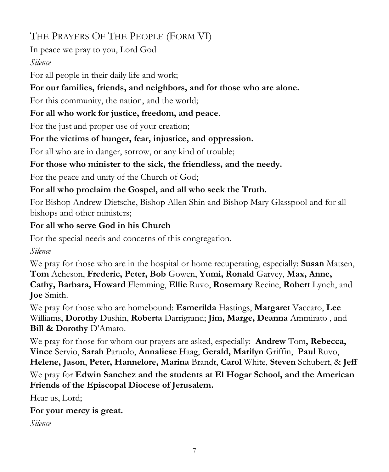# THE PRAYERS OF THE PEOPLE (FORM VI)

In peace we pray to you, Lord God

# *Silence*

For all people in their daily life and work;

# **For our families, friends, and neighbors, and for those who are alone.**

For this community, the nation, and the world;

# **For all who work for justice, freedom, and peace**.

For the just and proper use of your creation;

# **For the victims of hunger, fear, injustice, and oppression.**

For all who are in danger, sorrow, or any kind of trouble;

# **For those who minister to the sick, the friendless, and the needy.**

For the peace and unity of the Church of God;

# **For all who proclaim the Gospel, and all who seek the Truth.**

For Bishop Andrew Dietsche, Bishop Allen Shin and Bishop Mary Glasspool and for all bishops and other ministers;

# **For all who serve God in his Church**

For the special needs and concerns of this congregation.

*Silence*

We pray for those who are in the hospital or home recuperating, especially: **Susan** Matsen, **Tom** Acheson, **Frederic, Peter, Bob** Gowen, **Yumi, Ronald** Garvey, **Max, Anne, Cathy, Barbara, Howard** Flemming, **Ellie** Ruvo, **Rosemary** Recine, **Robert** Lynch, and **Joe** Smith.

We pray for those who are homebound: **Esmerilda** Hastings, **Margaret** Vaccaro, **Lee** Williams, **Dorothy** Dushin, **Roberta** Darrigrand; **Jim, Marge, Deanna** Ammirato , and **Bill & Dorothy** D'Amato.

We pray for those for whom our prayers are asked, especially: **Andrew** Tom**, Rebecca, Vince** Servio, **Sarah** Paruolo, **Annaliese** Haag, **Gerald, Marilyn** Griffin, **Paul** Ruvo, **Helene, Jason**, **Peter, Hannelore, Marina** Brandt, **Carol** White, **Steven** Schubert, & **Jeff**

We pray for **Edwin Sanchez and the students at El Hogar School, and the American Friends of the Episcopal Diocese of Jerusalem.**

Hear us, Lord;

**For your mercy is great.** 

*Silence*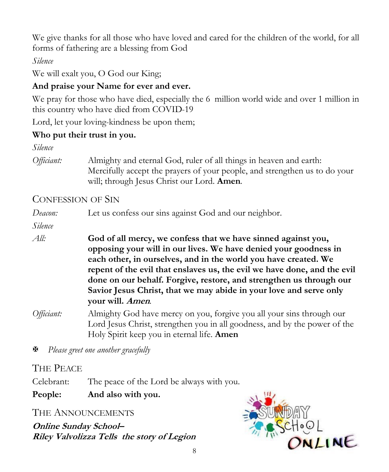We give thanks for all those who have loved and cared for the children of the world, for all forms of fathering are a blessing from God

*Silence* 

We will exalt you, O God our King;

#### **And praise your Name for ever and ever.**

We pray for those who have died, especially the 6 million world wide and over 1 million in this country who have died from COVID-19

Lord, let your loving-kindness be upon them;

#### **Who put their trust in you.**

*Silence* 

*Officiant:* Almighty and eternal God, ruler of all things in heaven and earth: Mercifully accept the prayers of your people, and strengthen us to do your will; through Jesus Christ our Lord. **Amen***.*

#### CONFESSION OF SIN

| Deacon: | Let us confess our sins against God and our neighbor. |  |
|---------|-------------------------------------------------------|--|
|         |                                                       |  |

*Silence*

- *All:* **God of all mercy, we confess that we have sinned against you, opposing your will in our lives. We have denied your goodness in each other, in ourselves, and in the world you have created. We repent of the evil that enslaves us, the evil we have done, and the evil done on our behalf. Forgive, restore, and strengthen us through our Savior Jesus Christ, that we may abide in your love and serve only your will. Amen***.*
- *Officiant:* Almighty God have mercy on you, forgive you all your sins through our Lord Jesus Christ, strengthen you in all goodness, and by the power of the Holy Spirit keep you in eternal life. **Amen**

*Please greet one another gracefully*

# THE PEACE

Celebrant: The peace of the Lord be always with you.

**People: And also with you.**

THE ANNOUNCEMENTS

**Online Sunday School– Riley Valvolizza Tells the story of Legion** 

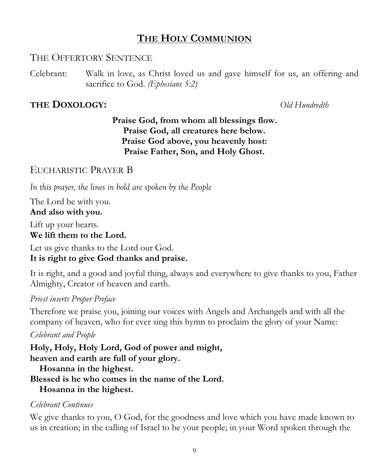# **THE HOLY COMMUNION**

#### THE OFFERTORY SENTENCE

Celebrant: Walk in love, as Christ loved us and gave himself for us, an offering and sacrifice to God. *(Ephesians 5:2)*

#### **THE DOXOLOGY:** *Old Hundredth*

#### **Praise God, from whom all blessings flow. Praise God, all creatures here below. Praise God above, you heavenly host: Praise Father, Son, and Holy Ghost.**

# EUCHARISTIC PRAYER B

*In this prayer, the lines in bold are spoken by the People*

The Lord be with you. **And also with you.**

Lift up your hearts. **We lift them to the Lord.**

Let us give thanks to the Lord our God. **It is right to give God thanks and praise.**

It is right, and a good and joyful thing, always and everywhere to give thanks to you, Father Almighty, Creator of heaven and earth.

#### *Priest inserts Proper Preface*

Therefore we praise you, joining our voices with Angels and Archangels and with all the company of heaven, who for ever sing this hymn to proclaim the glory of your Name:

*Celebrant and People*

**Holy, Holy, Holy Lord, God of power and might, heaven and earth are full of your glory.**

 **Hosanna in the highest.**

**Blessed is he who comes in the name of the Lord.**

#### **Hosanna in the highest.**

#### *Celebrant Continues*

We give thanks to you, O God, for the goodness and love which you have made known to us in creation; in the calling of Israel to be your people; in your Word spoken through the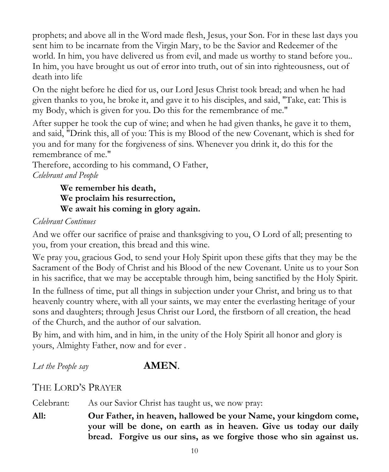prophets; and above all in the Word made flesh, Jesus, your Son. For in these last days you sent him to be incarnate from the Virgin Mary, to be the Savior and Redeemer of the world. In him, you have delivered us from evil, and made us worthy to stand before you.. In him, you have brought us out of error into truth, out of sin into righteousness, out of death into life

On the night before he died for us, our Lord Jesus Christ took bread; and when he had given thanks to you, he broke it, and gave it to his disciples, and said, "Take, eat: This is my Body, which is given for you. Do this for the remembrance of me."

After supper he took the cup of wine; and when he had given thanks, he gave it to them, and said, "Drink this, all of you: This is my Blood of the new Covenant, which is shed for you and for many for the forgiveness of sins. Whenever you drink it, do this for the remembrance of me."

Therefore, according to his command, O Father, *Celebrant and People*

> **We remember his death, We proclaim his resurrection, We await his coming in glory again.**

#### *Celebrant Continues*

And we offer our sacrifice of praise and thanksgiving to you, O Lord of all; presenting to you, from your creation, this bread and this wine.

We pray you, gracious God, to send your Holy Spirit upon these gifts that they may be the Sacrament of the Body of Christ and his Blood of the new Covenant. Unite us to your Son in his sacrifice, that we may be acceptable through him, being sanctified by the Holy Spirit.

In the fullness of time, put all things in subjection under your Christ, and bring us to that heavenly country where, with all your saints, we may enter the everlasting heritage of your sons and daughters; through Jesus Christ our Lord, the firstborn of all creation, the head of the Church, and the author of our salvation.

By him, and with him, and in him, in the unity of the Holy Spirit all honor and glory is yours, Almighty Father, now and for ever .

*Let the People say* **AMEN**.

THE LORD'S PRAYER

Celebrant: As our Savior Christ has taught us, we now pray:

**All: Our Father, in heaven, hallowed be your Name, your kingdom come, your will be done, on earth as in heaven. Give us today our daily bread. Forgive us our sins, as we forgive those who sin against us.**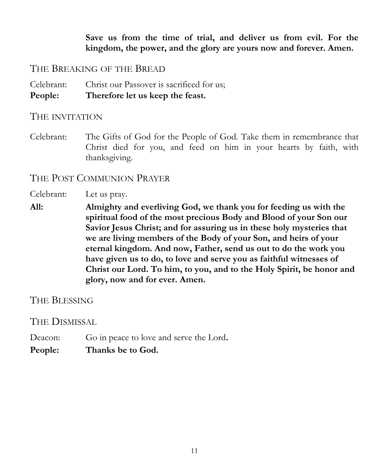**Save us from the time of trial, and deliver us from evil. For the kingdom, the power, and the glory are yours now and forever. Amen.**

#### THE BREAKING OF THE BREAD

Celebrant: Christ our Passover is sacrificed for us; **People: Therefore let us keep the feast.**

#### THE INVITATION

Celebrant: The Gifts of God for the People of God. Take them in remembrance that Christ died for you, and feed on him in your hearts by faith, with thanksgiving.

#### THE POST COMMUNION PRAYER

#### Celebrant: Let us pray.

**All: Almighty and everliving God, we thank you for feeding us with the spiritual food of the most precious Body and Blood of your Son our Savior Jesus Christ; and for assuring us in these holy mysteries that we are living members of the Body of your Son, and heirs of your eternal kingdom. And now, Father, send us out to do the work you have given us to do, to love and serve you as faithful witnesses of Christ our Lord. To him, to you, and to the Holy Spirit, be honor and glory, now and for ever. Amen.**

#### THE BLESSING

THE DISMISSAL

- Deacon: Go in peace to love and serve the Lord**.**
- **People: Thanks be to God.**